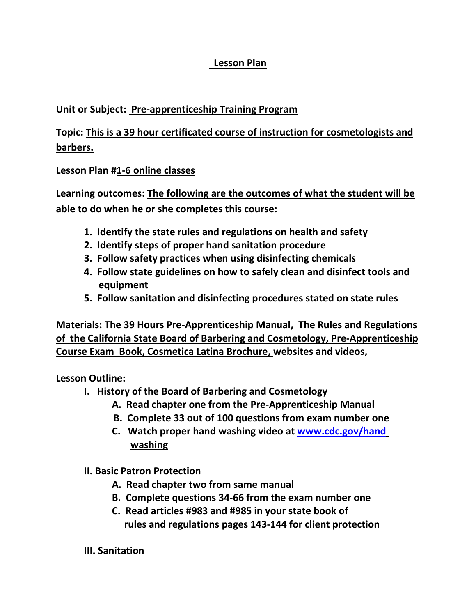## **Lesson Plan**

**Unit or Subject: Pre-apprenticeship Training Program**

**Topic: This is a 39 hour certificated course of instruction for cosmetologists and barbers.** 

**Lesson Plan #1-6 online classes**

**Learning outcomes: The following are the outcomes of what the student will be able to do when he or she completes this course:**

- **1. Identify the state rules and regulations on health and safety**
- **2. Identify steps of proper hand sanitation procedure**
- **3. Follow safety practices when using disinfecting chemicals**
- **4. Follow state guidelines on how to safely clean and disinfect tools and equipment**
- **5. Follow sanitation and disinfecting procedures stated on state rules**

**Materials: The 39 Hours Pre-Apprenticeship Manual, The Rules and Regulations of the California State Board of Barbering and Cosmetology, Pre-Apprenticeship Course Exam Book, Cosmetica Latina Brochure, websites and videos,**

**Lesson Outline:** 

- **I. History of the Board of Barbering and Cosmetology**
	- **A. Read chapter one from the Pre-Apprenticeship Manual**
	- **B. Complete 33 out of 100 questions from exam number one**
	- **C. Watch proper hand washing video at [www.cdc.gov/hand](http://www.cdc.gov/hand) washing**
- **II. Basic Patron Protection**
	- **A. Read chapter two from same manual**
	- **B. Complete questions 34-66 from the exam number one**
	- **C. Read articles #983 and #985 in your state book of rules and regulations pages 143-144 for client protection**
- **III. Sanitation**